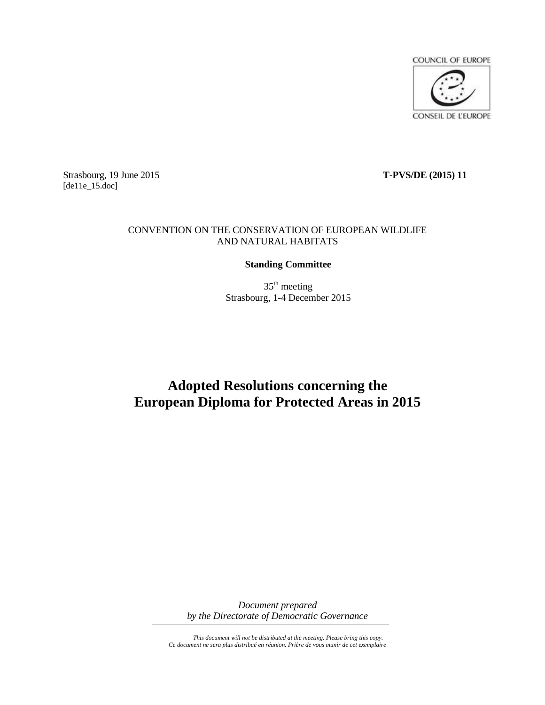

Strasbourg, 19 June 2015 **T-PVS/DE (2015) 11** [de11e\_15.doc]

### CONVENTION ON THE CONSERVATION OF EUROPEAN WILDLIFE AND NATURAL HABITATS

### **Standing Committee**

 $35<sup>th</sup>$  meeting Strasbourg, 1-4 December 2015

# **Adopted Resolutions concerning the European Diploma for Protected Areas in 2015**

*Document prepared by the Directorate of Democratic Governance*

*This document will not be distributed at the meeting. Please bring this copy. Ce document ne sera plus distribué en réunion. Prière de vous munir de cet exemplaire*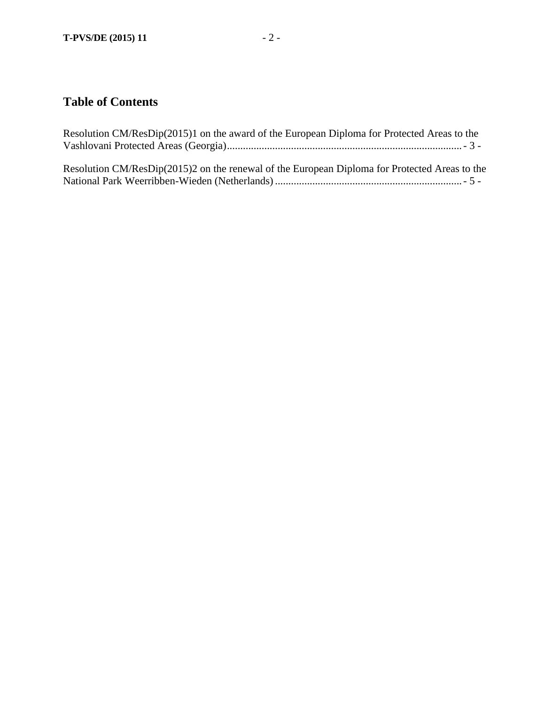## **Table of Contents**

| Resolution CM/ResDip(2015)1 on the award of the European Diploma for Protected Areas to the   |
|-----------------------------------------------------------------------------------------------|
| Resolution CM/ResDip(2015)2 on the renewal of the European Diploma for Protected Areas to the |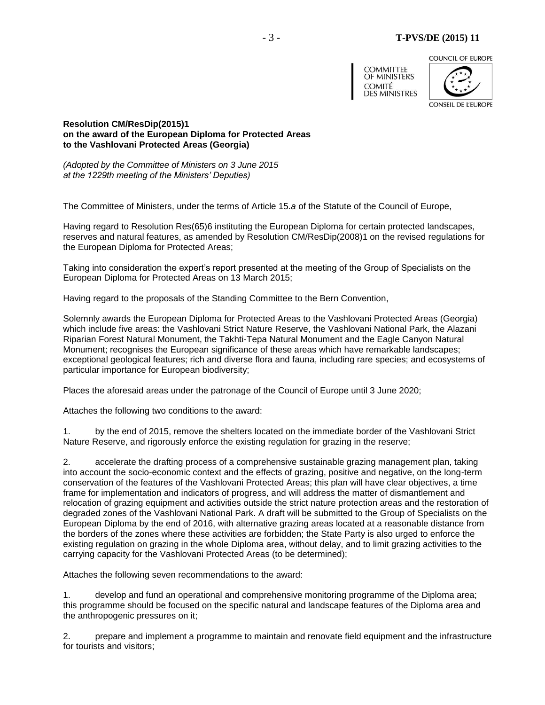#### - 3 - **T-PVS/DE (2015) 11**

COUNCIL OF EUROPE





<span id="page-2-0"></span>**Resolution CM/ResDip(2015)1 on the award of the European Diploma for Protected Areas to the Vashlovani Protected Areas (Georgia)**

*(Adopted by the Committee of Ministers on 3 June 2015 at the 1229th meeting of the Ministers' Deputies)*

The Committee of Ministers, under the terms of Article 15.*a* of the Statute of the Council of Europe,

Having regard to Resolution Res(65)6 instituting the European Diploma for certain protected landscapes, reserves and natural features, as amended by Resolution CM/ResDip(2008)1 on the revised regulations for the European Diploma for Protected Areas;

Taking into consideration the expert's report presented at the meeting of the Group of Specialists on the European Diploma for Protected Areas on 13 March 2015;

Having regard to the proposals of the Standing Committee to the Bern Convention,

Solemnly awards the European Diploma for Protected Areas to the Vashlovani Protected Areas (Georgia) which include five areas: the Vashlovani Strict Nature Reserve, the Vashlovani National Park, the Alazani Riparian Forest Natural Monument, the Takhti-Tepa Natural Monument and the Eagle Canyon Natural Monument; recognises the European significance of these areas which have remarkable landscapes; exceptional geological features; rich and diverse flora and fauna, including rare species; and ecosystems of particular importance for European biodiversity;

Places the aforesaid areas under the patronage of the Council of Europe until 3 June 2020;

Attaches the following two conditions to the award:

1. by the end of 2015, remove the shelters located on the immediate border of the Vashlovani Strict Nature Reserve, and rigorously enforce the existing regulation for grazing in the reserve;

2. accelerate the drafting process of a comprehensive sustainable grazing management plan, taking into account the socio-economic context and the effects of grazing, positive and negative, on the long-term conservation of the features of the Vashlovani Protected Areas; this plan will have clear objectives, a time frame for implementation and indicators of progress, and will address the matter of dismantlement and relocation of grazing equipment and activities outside the strict nature protection areas and the restoration of degraded zones of the Vashlovani National Park. A draft will be submitted to the Group of Specialists on the European Diploma by the end of 2016, with alternative grazing areas located at a reasonable distance from the borders of the zones where these activities are forbidden; the State Party is also urged to enforce the existing regulation on grazing in the whole Diploma area, without delay, and to limit grazing activities to the carrying capacity for the Vashlovani Protected Areas (to be determined);

Attaches the following seven recommendations to the award:

1. develop and fund an operational and comprehensive monitoring programme of the Diploma area; this programme should be focused on the specific natural and landscape features of the Diploma area and the anthropogenic pressures on it;

2. prepare and implement a programme to maintain and renovate field equipment and the infrastructure for tourists and visitors;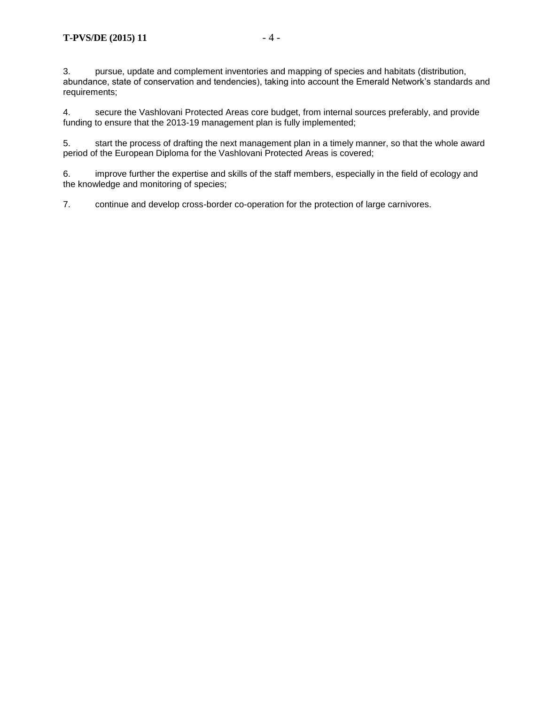3. pursue, update and complement inventories and mapping of species and habitats (distribution, abundance, state of conservation and tendencies), taking into account the Emerald Network's standards and requirements;

4. secure the Vashlovani Protected Areas core budget, from internal sources preferably, and provide funding to ensure that the 2013-19 management plan is fully implemented;

5. start the process of drafting the next management plan in a timely manner, so that the whole award period of the European Diploma for the Vashlovani Protected Areas is covered;

6. improve further the expertise and skills of the staff members, especially in the field of ecology and the knowledge and monitoring of species;

7. continue and develop cross-border co-operation for the protection of large carnivores.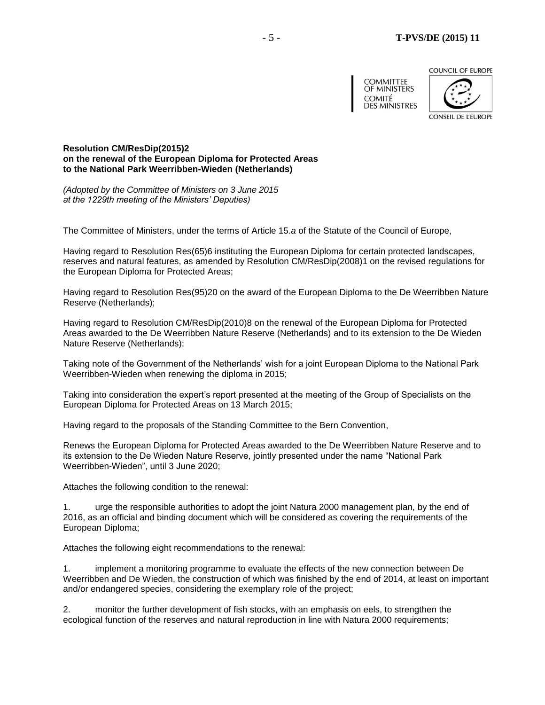COUNCIL OF EUROPE



**CONSEIL DE L'EUROPE** 

<span id="page-4-0"></span>**Resolution CM/ResDip(2015)2 on the renewal of the European Diploma for Protected Areas to the National Park Weerribben-Wieden (Netherlands)**

*(Adopted by the Committee of Ministers on 3 June 2015 at the 1229th meeting of the Ministers' Deputies)*

The Committee of Ministers, under the terms of Article 15.*a* of the Statute of the Council of Europe,

Having regard to Resolution Res(65)6 instituting the European Diploma for certain protected landscapes, reserves and natural features, as amended by Resolution CM/ResDip(2008)1 on the revised regulations for the European Diploma for Protected Areas;

Having regard to Resolution Res(95)20 on the award of the European Diploma to the De Weerribben Nature Reserve (Netherlands);

Having regard to Resolution CM/ResDip(2010)8 on the renewal of the European Diploma for Protected Areas awarded to the De Weerribben Nature Reserve (Netherlands) and to its extension to the De Wieden Nature Reserve (Netherlands);

Taking note of the Government of the Netherlands' wish for a joint European Diploma to the National Park Weerribben-Wieden when renewing the diploma in 2015;

Taking into consideration the expert's report presented at the meeting of the Group of Specialists on the European Diploma for Protected Areas on 13 March 2015;

Having regard to the proposals of the Standing Committee to the Bern Convention,

Renews the European Diploma for Protected Areas awarded to the De Weerribben Nature Reserve and to its extension to the De Wieden Nature Reserve, jointly presented under the name "National Park Weerribben-Wieden", until 3 June 2020;

Attaches the following condition to the renewal:

1. urge the responsible authorities to adopt the joint Natura 2000 management plan, by the end of 2016, as an official and binding document which will be considered as covering the requirements of the European Diploma;

Attaches the following eight recommendations to the renewal:

1. implement a monitoring programme to evaluate the effects of the new connection between De Weerribben and De Wieden, the construction of which was finished by the end of 2014, at least on important and/or endangered species, considering the exemplary role of the project;

2. monitor the further development of fish stocks, with an emphasis on eels, to strengthen the ecological function of the reserves and natural reproduction in line with Natura 2000 requirements;